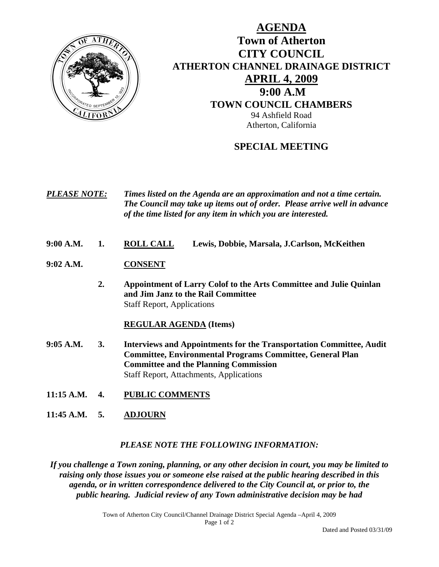

# **AGENDA Town of Atherton CITY COUNCIL ATHERTON CHANNEL DRAINAGE DISTRICT APRIL 4, 2009 9:00 A.M TOWN COUNCIL CHAMBERS** 94 Ashfield Road Atherton, California

## **SPECIAL MEETING**

*PLEASE NOTE: Times listed on the Agenda are an approximation and not a time certain. The Council may take up items out of order. Please arrive well in advance of the time listed for any item in which you are interested.* 

- **9:00 A.M. 1. ROLL CALL Lewis, Dobbie, Marsala, J.Carlson, McKeithen**
- **9:02 A.M. CONSENT**
	- **2. Appointment of Larry Colof to the Arts Committee and Julie Quinlan and Jim Janz to the Rail Committee** Staff Report, Applications

#### **REGULAR AGENDA (Items)**

- **9:05 A.M. 3. Interviews and Appointments for the Transportation Committee, Audit Committee, Environmental Programs Committee, General Plan Committee and the Planning Commission** Staff Report, Attachments, Applications
- **11:15 A.M. 4. PUBLIC COMMENTS**
- **11:45 A.M. 5. ADJOURN**

#### *PLEASE NOTE THE FOLLOWING INFORMATION:*

*If you challenge a Town zoning, planning, or any other decision in court, you may be limited to raising only those issues you or someone else raised at the public hearing described in this agenda, or in written correspondence delivered to the City Council at, or prior to, the public hearing. Judicial review of any Town administrative decision may be had* 

> Town of Atherton City Council/Channel Drainage District Special Agenda –April 4, 2009 Page 1 of 2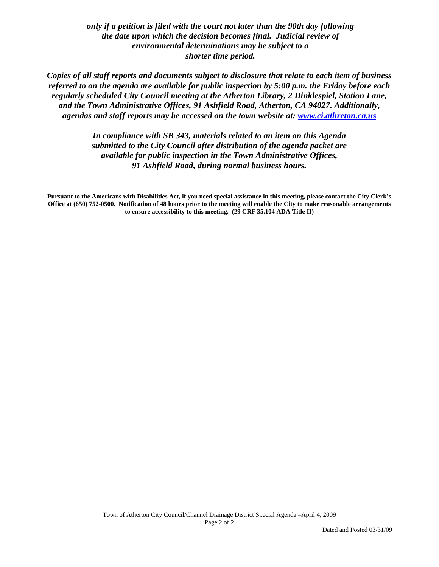*only if a petition is filed with the court not later than the 90th day following the date upon which the decision becomes final. Judicial review of environmental determinations may be subject to a shorter time period.* 

*Copies of all staff reports and documents subject to disclosure that relate to each item of business referred to on the agenda are available for public inspection by 5:00 p.m. the Friday before each regularly scheduled City Council meeting at the Atherton Library, 2 Dinklespiel, Station Lane, and the Town Administrative Offices, 91 Ashfield Road, Atherton, CA 94027. Additionally, agendas and staff reports may be accessed on the town website at: [www.ci.athreton.ca.us](http://www.ci.athreton.ca.us/)* 

> *In compliance with SB 343, materials related to an item on this Agenda submitted to the City Council after distribution of the agenda packet are available for public inspection in the Town Administrative Offices, 91 Ashfield Road, during normal business hours.*

**Pursuant to the Americans with Disabilities Act, if you need special assistance in this meeting, please contact the City Clerk's Office at (650) 752-0500. Notification of 48 hours prior to the meeting will enable the City to make reasonable arrangements to ensure accessibility to this meeting. (29 CRF 35.104 ADA Title II)**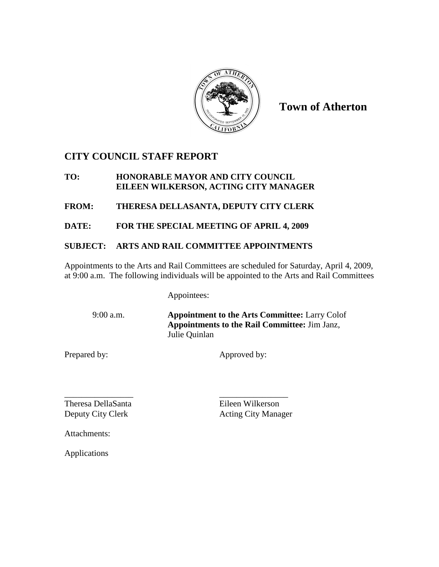

**Town of Atherton**

## **CITY COUNCIL STAFF REPORT**

#### **TO: HONORABLE MAYOR AND CITY COUNCIL EILEEN WILKERSON, ACTING CITY MANAGER**

**FROM: THERESA DELLASANTA, DEPUTY CITY CLERK**

**DATE: FOR THE SPECIAL MEETING OF APRIL 4, 2009**

### **SUBJECT: ARTS AND RAIL COMMITTEE APPOINTMENTS**

Appointments to the Arts and Rail Committees are scheduled for Saturday, April 4, 2009, at 9:00 a.m. The following individuals will be appointed to the Arts and Rail Committees

Appointees:

9:00 a.m. **Appointment to the Arts Committee:** Larry Colof **Appointments to the Rail Committee:** Jim Janz, Julie Quinlan

Prepared by: Approved by:

\_\_\_\_\_\_\_\_\_\_\_\_\_\_\_\_ \_\_\_\_\_\_\_\_\_\_\_\_\_\_\_\_ Theresa DellaSanta Eileen Wilkerson

Deputy City Clerk Acting City Manager

Attachments:

Applications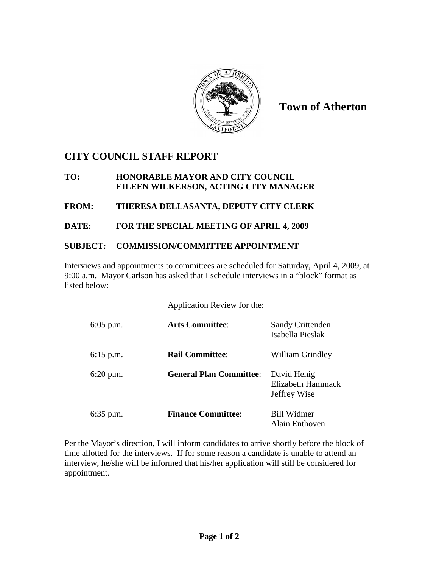

**Town of Atherton**

## **CITY COUNCIL STAFF REPORT**

#### **TO: HONORABLE MAYOR AND CITY COUNCIL EILEEN WILKERSON, ACTING CITY MANAGER**

**FROM: THERESA DELLASANTA, DEPUTY CITY CLERK**

### **DATE: FOR THE SPECIAL MEETING OF APRIL 4, 2009**

### **SUBJECT: COMMISSION/COMMITTEE APPOINTMENT**

Interviews and appointments to committees are scheduled for Saturday, April 4, 2009, at 9:00 a.m. Mayor Carlson has asked that I schedule interviews in a "block" format as listed below:

Application Review for the:

| $6:05$ p.m. | <b>Arts Committee:</b>         | <b>Sandy Crittenden</b><br>Isabella Pieslak      |
|-------------|--------------------------------|--------------------------------------------------|
| $6:15$ p.m. | <b>Rail Committee:</b>         | William Grindley                                 |
| $6:20$ p.m. | <b>General Plan Committee:</b> | David Henig<br>Elizabeth Hammack<br>Jeffrey Wise |
| $6:35$ p.m. | <b>Finance Committee:</b>      | <b>Bill Widmer</b><br>Alain Enthoven             |

Per the Mayor's direction, I will inform candidates to arrive shortly before the block of time allotted for the interviews. If for some reason a candidate is unable to attend an interview, he/she will be informed that his/her application will still be considered for appointment.